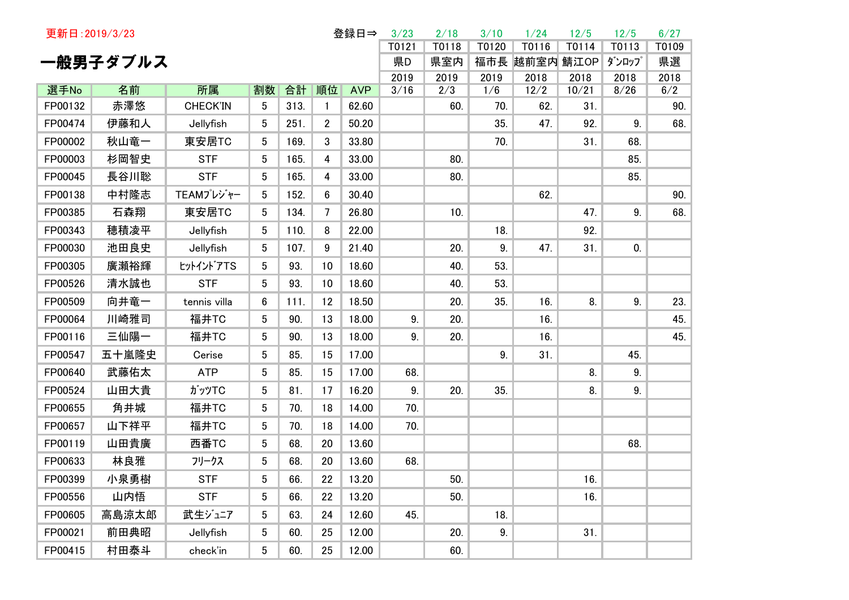| 更新日: 2019/3/23 |          |                 |                |      |                | 登録日⇒       | 3/23  | 2/18  | 3/10  | 1/24      | 12/5  | 12/5  | 6/27  |
|----------------|----------|-----------------|----------------|------|----------------|------------|-------|-------|-------|-----------|-------|-------|-------|
|                |          |                 |                |      |                |            | T0121 | T0118 | T0120 | T0116     | T0114 | T0113 | T0109 |
|                | 一般男子ダブルス |                 |                |      |                |            | 県D    | 県室内   | 福市長   | 越前室内 鯖江OP |       | ダンロップ | 県選    |
|                |          |                 |                |      |                |            | 2019  | 2019  | 2019  | 2018      | 2018  | 2018  | 2018  |
| 選手No           | 名前       | 所属              | 割数             | 合計   | 順位             | <b>AVP</b> | 3/16  | 2/3   | 1/6   | 12/2      | 10/21 | 8/26  | 6/2   |
| FP00132        | 赤澤悠      | <b>CHECK'IN</b> | 5              | 313. | $\mathbf{1}$   | 62.60      |       | 60.   | 70.   | 62.       | 31.   |       | 90.   |
| FP00474        | 伊藤和人     | Jellyfish       | 5              | 251. | $\overline{2}$ | 50.20      |       |       | 35.   | 47.       | 92.   | 9.    | 68.   |
| FP00002        | 秋山竜一     | 東安居TC           | 5              | 169. | 3              | 33.80      |       |       | 70.   |           | 31.   | 68.   |       |
| FP00003        | 杉岡智史     | <b>STF</b>      | 5              | 165. | 4              | 33.00      |       | 80.   |       |           |       | 85.   |       |
| FP00045        | 長谷川聡     | <b>STF</b>      | 5              | 165. | 4              | 33.00      |       | 80.   |       |           |       | 85.   |       |
| FP00138        | 中村隆志     | TEAMプレジャー       | 5              | 152. | 6              | 30.40      |       |       |       | 62.       |       |       | 90.   |
| FP00385        | 石森翔      | 東安居TC           | 5              | 134. | 7              | 26.80      |       | 10.   |       |           | 47.   | 9.    | 68.   |
| FP00343        | 穂積凌平     | Jellyfish       | 5              | 110. | 8              | 22.00      |       |       | 18.   |           | 92.   |       |       |
| FP00030        | 池田良史     | Jellyfish       | 5              | 107. | 9              | 21.40      |       | 20.   | 9.    | 47.       | 31.   | 0.    |       |
| FP00305        | 廣瀬裕輝     | ヒットイントアTS       | 5              | 93.  | 10             | 18.60      |       | 40.   | 53.   |           |       |       |       |
| FP00526        | 清水誠也     | <b>STF</b>      | 5              | 93.  | 10             | 18.60      |       | 40.   | 53.   |           |       |       |       |
| FP00509        | 向井竜一     | tennis villa    | 6              | 111. | 12             | 18.50      |       | 20.   | 35.   | 16.       | 8.    | 9.    | 23.   |
| FP00064        | 川崎雅司     | 福井TC            | 5              | 90.  | 13             | 18.00      | 9.    | 20.   |       | 16.       |       |       | 45.   |
| FP00116        | 三仙陽一     | 福井TC            | 5              | 90.  | 13             | 18.00      | 9.    | 20.   |       | 16.       |       |       | 45.   |
| FP00547        | 五十嵐隆史    | Cerise          | 5              | 85.  | 15             | 17.00      |       |       | 9.    | 31.       |       | 45.   |       |
| FP00640        | 武藤佑太     | <b>ATP</b>      | 5              | 85.  | 15             | 17.00      | 68.   |       |       |           | 8.    | 9.    |       |
| FP00524        | 山田大貴     | ガッツTC           | 5              | 81.  | 17             | 16.20      | 9.    | 20.   | 35.   |           | 8.    | 9.    |       |
| FP00655        | 角井城      | 福井TC            | 5              | 70.  | 18             | 14.00      | 70.   |       |       |           |       |       |       |
| FP00657        | 山下祥平     | 福井TC            | 5              | 70.  | 18             | 14.00      | 70.   |       |       |           |       |       |       |
| FP00119        | 山田貴廣     | 西番TC            | 5              | 68.  | 20             | 13.60      |       |       |       |           |       | 68.   |       |
| FP00633        | 林良雅      | フリークス           | 5              | 68.  | 20             | 13.60      | 68.   |       |       |           |       |       |       |
| FP00399        | 小泉勇樹     | <b>STF</b>      | 5 <sub>5</sub> | 66.  | 22             | 13.20      |       | 50.   |       |           | 16.   |       |       |
| FP00556        | 山内悟      | <b>STF</b>      | $5^{\circ}$    | 66.  | 22             | 13.20      |       | 50.   |       |           | 16.   |       |       |
| FP00605        | 高島涼太郎    | 武生ジュニア          | 5              | 63.  | 24             | 12.60      | 45.   |       | 18.   |           |       |       |       |
| FP00021        | 前田典昭     | Jellyfish       | 5              | 60.  | 25             | 12.00      |       | 20.   | 9.    |           | 31.   |       |       |
| FP00415        | 村田泰斗     | check'in        | 5              | 60.  | 25             | 12.00      |       | 60.   |       |           |       |       |       |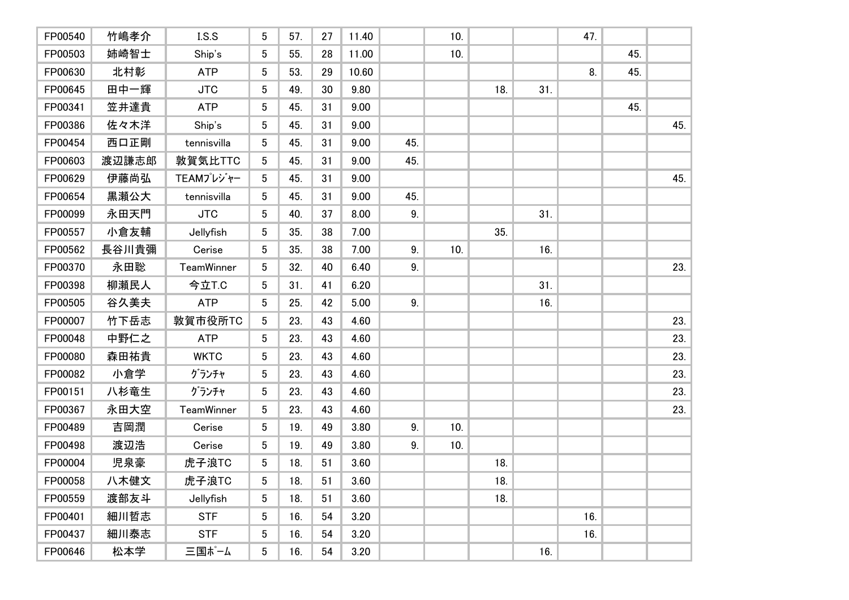| FP00540 | 竹嶋孝介  | LS.S        | 5               | 57. | 27 | 11.40 |                | 10. |     |     | 47. |     |     |
|---------|-------|-------------|-----------------|-----|----|-------|----------------|-----|-----|-----|-----|-----|-----|
| FP00503 | 姉崎智士  | Ship's      | 5               | 55. | 28 | 11.00 |                | 10. |     |     |     | 45. |     |
| FP00630 | 北村彰   | <b>ATP</b>  | 5               | 53. | 29 | 10.60 |                |     |     |     | 8.  | 45. |     |
| FP00645 | 田中一輝  | <b>JTC</b>  | 5               | 49. | 30 | 9.80  |                |     | 18. | 31. |     |     |     |
| FP00341 | 笠井達貴  | <b>ATP</b>  | 5               | 45. | 31 | 9.00  |                |     |     |     |     | 45. |     |
| FP00386 | 佐々木洋  | Ship's      | 5               | 45. | 31 | 9.00  |                |     |     |     |     |     | 45. |
| FP00454 | 西口正剛  | tennisvilla | 5               | 45. | 31 | 9.00  | 45.            |     |     |     |     |     |     |
| FP00603 | 渡辺謙志郎 | 敦賀気比TTC     | 5               | 45. | 31 | 9.00  | 45.            |     |     |     |     |     |     |
| FP00629 | 伊藤尚弘  | TEAMプレジャー   | 5 <sup>5</sup>  | 45. | 31 | 9.00  |                |     |     |     |     |     | 45. |
| FP00654 | 黒瀬公大  | tennisvilla | 5               | 45. | 31 | 9.00  | 45.            |     |     |     |     |     |     |
| FP00099 | 永田天門  | <b>JTC</b>  | 5 <sup>5</sup>  | 40. | 37 | 8.00  | 9 <sub>1</sub> |     |     | 31. |     |     |     |
| FP00557 | 小倉友輔  | Jellyfish   | 5               | 35. | 38 | 7.00  |                |     | 35. |     |     |     |     |
| FP00562 | 長谷川貴彌 | Cerise      | 5               | 35. | 38 | 7.00  | 9 <sub>1</sub> | 10. |     | 16. |     |     |     |
| FP00370 | 永田聡   | TeamWinner  | $5\phantom{.0}$ | 32. | 40 | 6.40  | 9.             |     |     |     |     |     | 23. |
| FP00398 | 柳瀬民人  | 今立T.C       | 5               | 31. | 41 | 6.20  |                |     |     | 31. |     |     |     |
| FP00505 | 谷久美夫  | <b>ATP</b>  | 5               | 25. | 42 | 5.00  | 9 <sub>1</sub> |     |     | 16. |     |     |     |
| FP00007 | 竹下岳志  | 敦賀市役所TC     | 5               | 23. | 43 | 4.60  |                |     |     |     |     |     | 23. |
| FP00048 | 中野仁之  | <b>ATP</b>  | 5               | 23. | 43 | 4.60  |                |     |     |     |     |     | 23. |
| FP00080 | 森田祐貴  | <b>WKTC</b> | 5               | 23. | 43 | 4.60  |                |     |     |     |     |     | 23. |
| FP00082 | 小倉学   | グランチャ       | 5               | 23. | 43 | 4.60  |                |     |     |     |     |     | 23. |
| FP00151 | 八杉竜生  | グランチャ       | 5               | 23. | 43 | 4.60  |                |     |     |     |     |     | 23. |
| FP00367 | 永田大空  | TeamWinner  | 5               | 23. | 43 | 4.60  |                |     |     |     |     |     | 23. |
| FP00489 | 吉岡潤   | Cerise      | 5               | 19. | 49 | 3.80  | 9.             | 10. |     |     |     |     |     |
| FP00498 | 渡辺浩   | Cerise      | 5               | 19. | 49 | 3.80  | 9.             | 10. |     |     |     |     |     |
| FP00004 | 児泉豪   | 虎子浪TC       | 5               | 18. | 51 | 3.60  |                |     | 18. |     |     |     |     |
| FP00058 | 八木健文  | 虎子浪TC       | 5 <sub>5</sub>  | 18. | 51 | 3.60  |                |     | 18. |     |     |     |     |
| FP00559 | 渡部友斗  | Jellyfish   | 5 <sup>5</sup>  | 18. | 51 | 3.60  |                |     | 18. |     |     |     |     |
| FP00401 | 細川哲志  | <b>STF</b>  | 5 <sup>5</sup>  | 16. | 54 | 3.20  |                |     |     |     | 16. |     |     |
| FP00437 | 細川泰志  | <b>STF</b>  | 5 <sup>5</sup>  | 16. | 54 | 3.20  |                |     |     |     | 16. |     |     |
| FP00646 | 松本学   | 三国ポーム       | 5 <sup>5</sup>  | 16. | 54 | 3.20  |                |     |     | 16. |     |     |     |